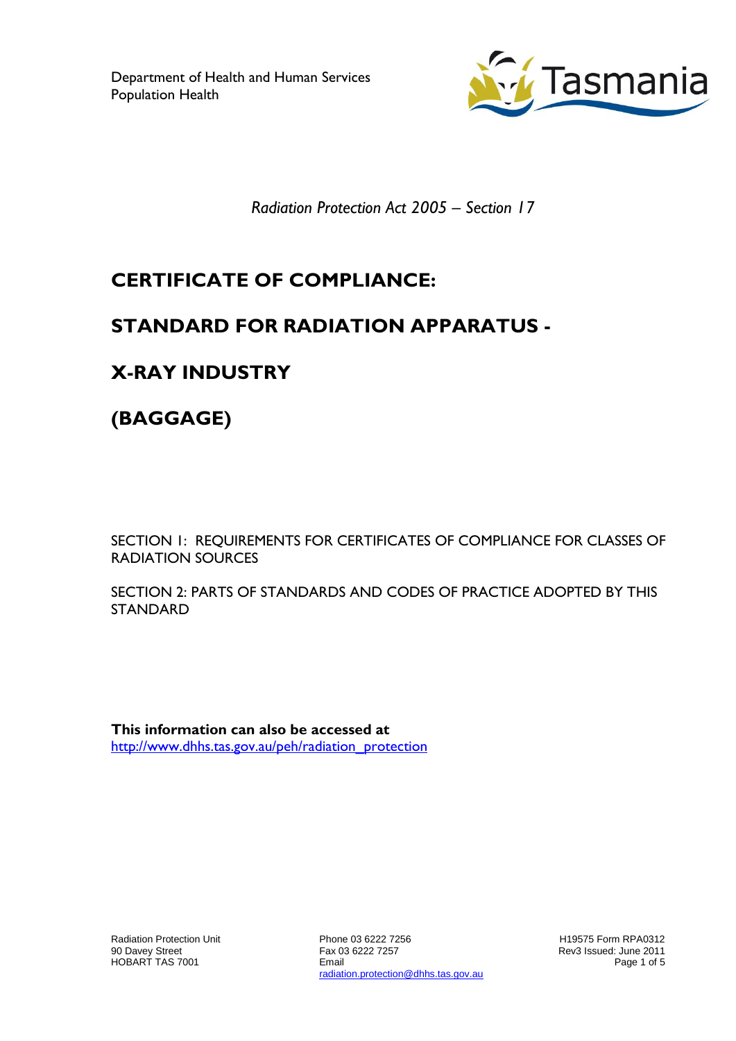Department of Health and Human Services Population Health



*Radiation Protection Act 2005 – Section 17*

# **CERTIFICATE OF COMPLIANCE:**

## **STANDARD FOR RADIATION APPARATUS -**

# **X-RAY INDUSTRY**

**(BAGGAGE)**

SECTION 1: REQUIREMENTS FOR CERTIFICATES OF COMPLIANCE FOR CLASSES OF RADIATION SOURCES

SECTION 2: PARTS OF STANDARDS AND CODES OF PRACTICE ADOPTED BY THIS STANDARD

**This information can also be accessed at** [http://www.dhhs.tas.gov.au/peh/radiation\\_protection](http://www.dhhs.tas.gov.au/peh/radiation_protection)

Radiation Protection Unit 90 Davey Street HOBART TAS 7001

Phone 03 6222 7256 Fax 03 6222 7257 Email radiation.protection@dhhs.tas.gov.au

H19575 Form RPA0312 Rev3 Issued: June 2011 Page 1 of 5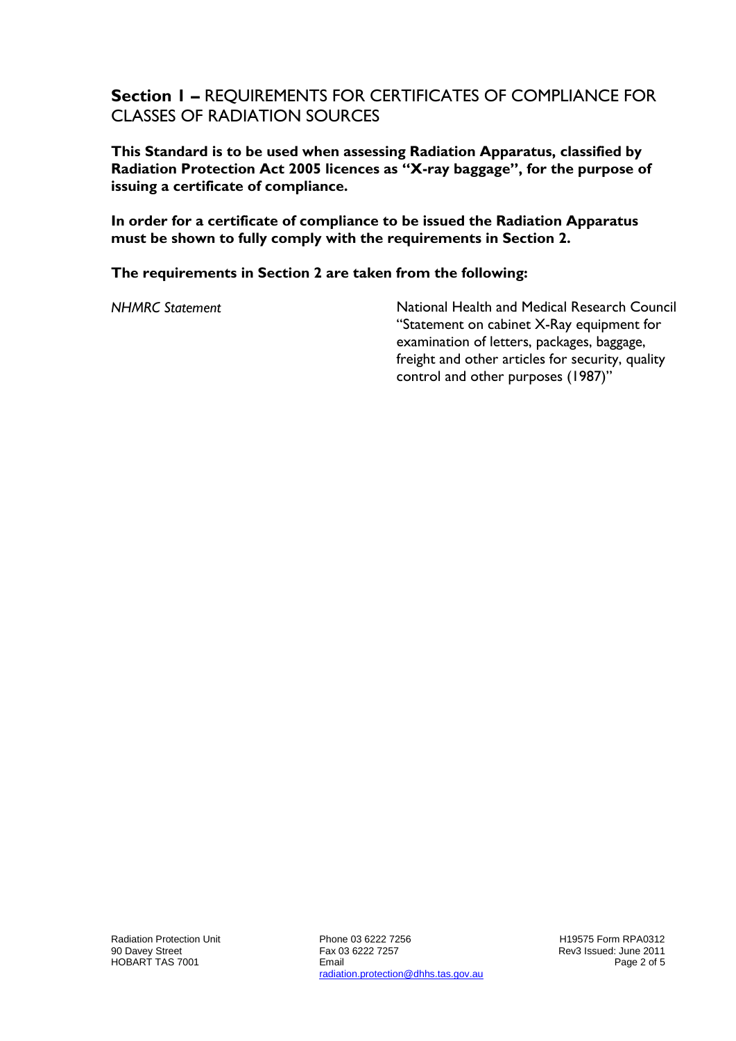#### **Section 1 –** REQUIREMENTS FOR CERTIFICATES OF COMPLIANCE FOR CLASSES OF RADIATION SOURCES

**This Standard is to be used when assessing Radiation Apparatus, classified by Radiation Protection Act 2005 licences as "X-ray baggage", for the purpose of issuing a certificate of compliance.**

**In order for a certificate of compliance to be issued the Radiation Apparatus must be shown to fully comply with the requirements in Section 2.**

#### **The requirements in Section 2 are taken from the following:**

*NHMRC Statement* National Health and Medical Research Council "Statement on cabinet X-Ray equipment for examination of letters, packages, baggage, freight and other articles for security, quality control and other purposes (1987)"

Phone 03 6222 7256 Fax 03 6222 7257 Email radiation.protection@dhhs.tas.gov.au

H19575 Form RPA0312 Rev3 Issued: June 2011 Page 2 of 5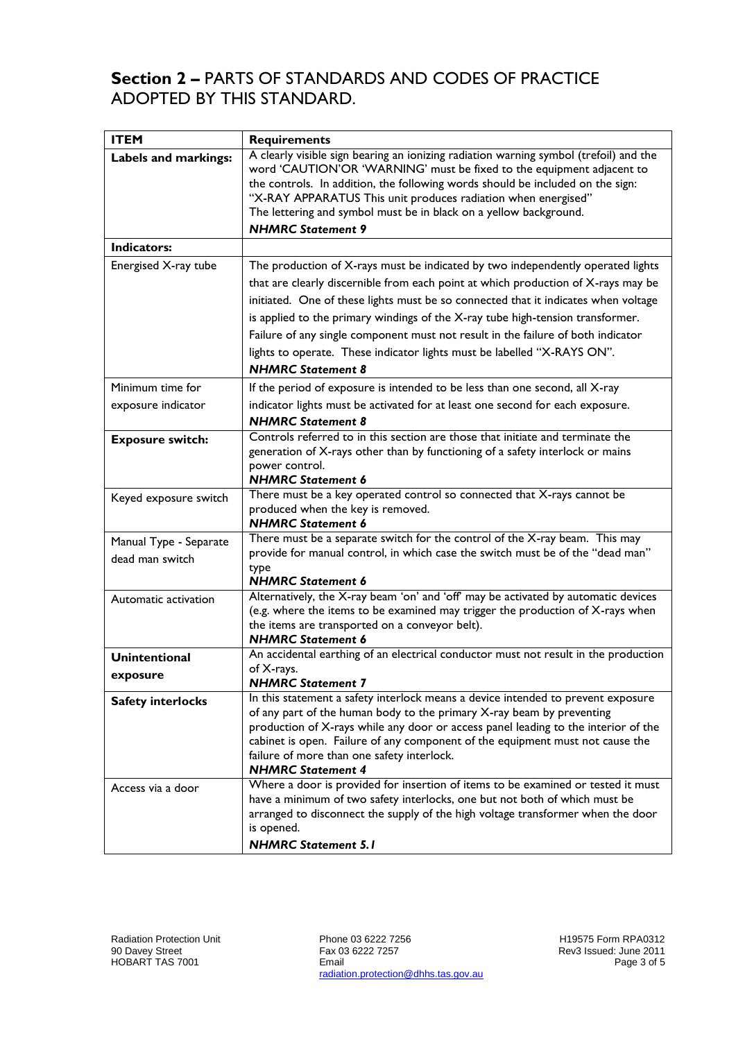### **Section 2 –** PARTS OF STANDARDS AND CODES OF PRACTICE ADOPTED BY THIS STANDARD.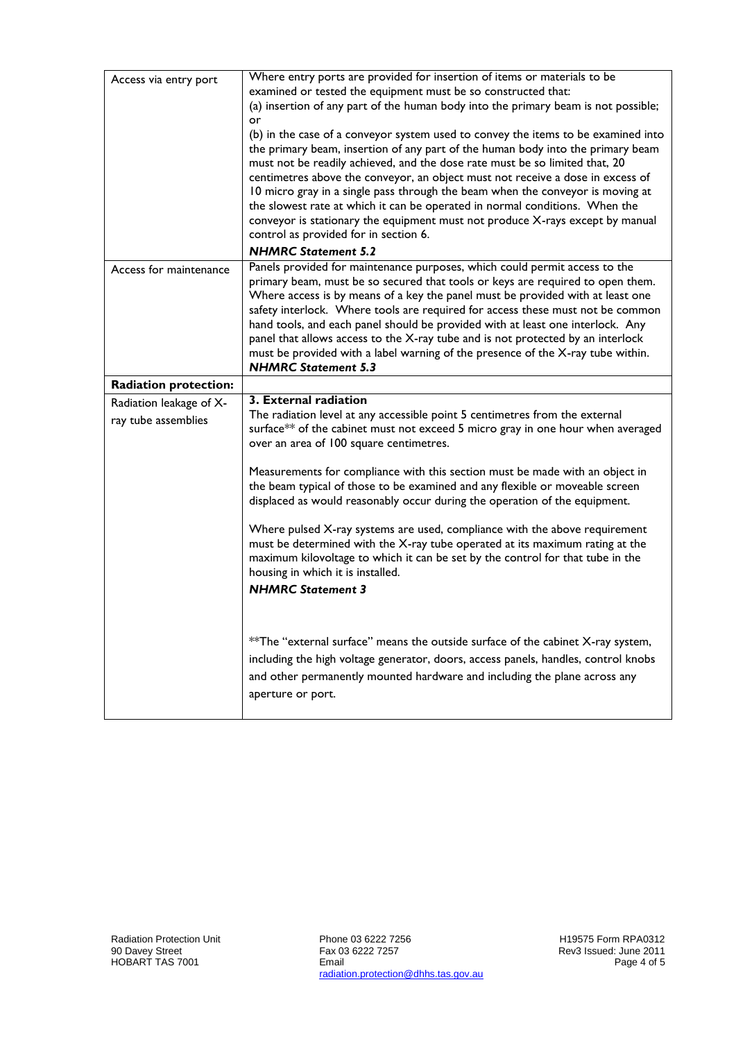| Access via entry port        | Where entry ports are provided for insertion of items or materials to be           |
|------------------------------|------------------------------------------------------------------------------------|
|                              | examined or tested the equipment must be so constructed that:                      |
|                              | (a) insertion of any part of the human body into the primary beam is not possible; |
|                              | or                                                                                 |
|                              | (b) in the case of a conveyor system used to convey the items to be examined into  |
|                              | the primary beam, insertion of any part of the human body into the primary beam    |
|                              | must not be readily achieved, and the dose rate must be so limited that, 20        |
|                              | centimetres above the conveyor, an object must not receive a dose in excess of     |
|                              | 10 micro gray in a single pass through the beam when the conveyor is moving at     |
|                              | the slowest rate at which it can be operated in normal conditions. When the        |
|                              | conveyor is stationary the equipment must not produce X-rays except by manual      |
|                              | control as provided for in section 6.                                              |
|                              | <b>NHMRC Statement 5.2</b>                                                         |
| Access for maintenance       | Panels provided for maintenance purposes, which could permit access to the         |
|                              | primary beam, must be so secured that tools or keys are required to open them.     |
|                              | Where access is by means of a key the panel must be provided with at least one     |
|                              | safety interlock. Where tools are required for access these must not be common     |
|                              | hand tools, and each panel should be provided with at least one interlock. Any     |
|                              | panel that allows access to the X-ray tube and is not protected by an interlock    |
|                              | must be provided with a label warning of the presence of the X-ray tube within.    |
|                              | <b>NHMRC Statement 5.3</b>                                                         |
| <b>Radiation protection:</b> |                                                                                    |
|                              |                                                                                    |
| Radiation leakage of X-      | 3. External radiation                                                              |
|                              | The radiation level at any accessible point 5 centimetres from the external        |
| ray tube assemblies          | surface** of the cabinet must not exceed 5 micro gray in one hour when averaged    |
|                              | over an area of 100 square centimetres.                                            |
|                              |                                                                                    |
|                              | Measurements for compliance with this section must be made with an object in       |
|                              | the beam typical of those to be examined and any flexible or moveable screen       |
|                              | displaced as would reasonably occur during the operation of the equipment.         |
|                              |                                                                                    |
|                              | Where pulsed X-ray systems are used, compliance with the above requirement         |
|                              | must be determined with the X-ray tube operated at its maximum rating at the       |
|                              | maximum kilovoltage to which it can be set by the control for that tube in the     |
|                              | housing in which it is installed.                                                  |
|                              | <b>NHMRC Statement 3</b>                                                           |
|                              |                                                                                    |
|                              |                                                                                    |
|                              | ** The "external surface" means the outside surface of the cabinet X-ray system,   |
|                              |                                                                                    |
|                              | including the high voltage generator, doors, access panels, handles, control knobs |
|                              | and other permanently mounted hardware and including the plane across any          |
|                              | aperture or port.                                                                  |

Phone 03 6222 7256 Fax 03 6222 7257 Email radiation.protection@dhhs.tas.gov.au